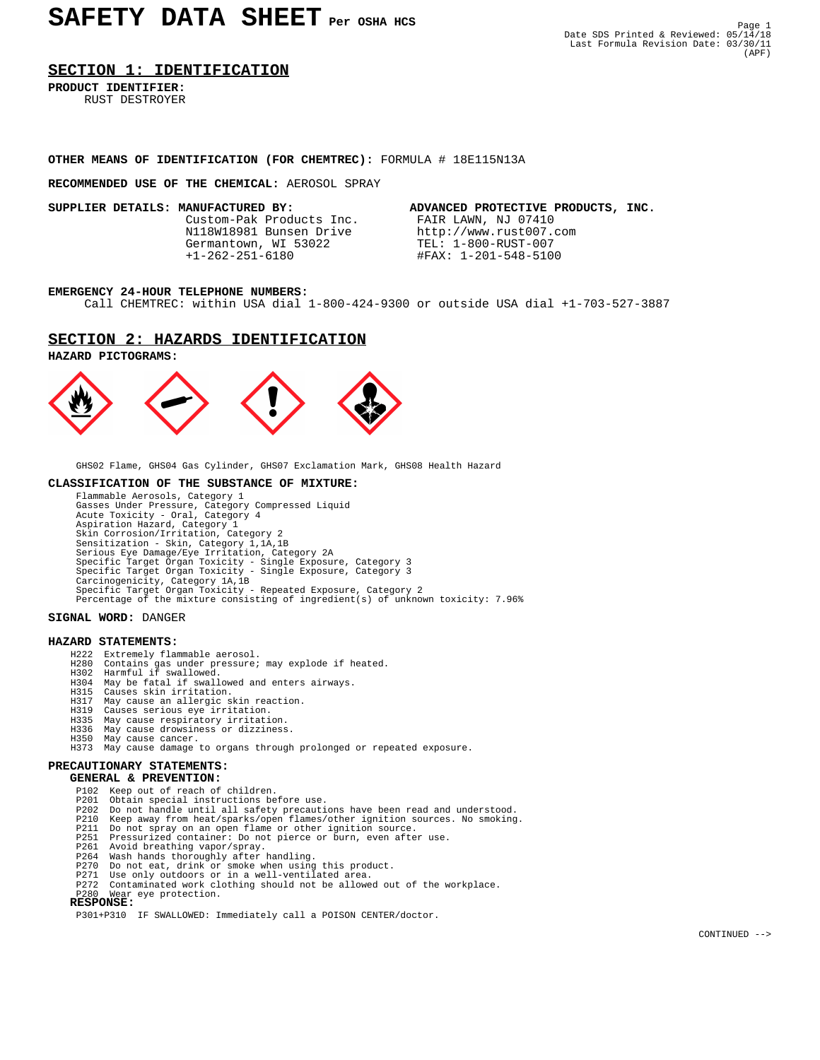#### **SECTION 1: IDENTIFICATION**

**PRODUCT IDENTIFIER:** RUST DESTROYER

# **OTHER MEANS OF IDENTIFICATION (FOR CHEMTREC):** FORMULA # 18E115N13A

#### **RECOMMENDED USE OF THE CHEMICAL:** AEROSOL SPRAY

Custom-Pak Products Inc. N118W18981 Bunsen Drive http://www.rust007.com<br>Germantown, WI 53022 TEL: 1-800-RUST-007 Germantown, WI 53022<br>+1-262-251-6180

**SUPPLIER DETAILS: MANUFACTURED BY:** ADVANCED PROTECTIVE PRODUCTS, INC.<br>Custom-Pak Products Inc. FAIR LAWN, NJ 07410 +1-262-251-6180 #FAX: 1-201-548-5100

#### **EMERGENCY 24-HOUR TELEPHONE NUMBERS:**

Call CHEMTREC: within USA dial 1-800-424-9300 or outside USA dial +1-703-527-3887

### **SECTION 2: HAZARDS IDENTIFICATION**





GHS02 Flame, GHS04 Gas Cylinder, GHS07 Exclamation Mark, GHS08 Health Hazard

#### **CLASSIFICATION OF THE SUBSTANCE OF MIXTURE:**

 Flammable Aerosols, Category 1 Gasses Under Pressure, Category Compressed Liquid Acute Toxicity - Oral, Category 4 Aspiration Hazard, Category 1 Skin Corrosion/Irritation, Category 2 Sensitization - Skin, Category 1,1A,1B Serious Eye Damage/Eye Irritation, Category 2A Specific Target Organ Toxicity - Single Exposure, Category 3 Specific Target Organ Toxicity - Single Exposure, Category 3 Carcinogenicity, Category 1A,1B Specific Target Organ Toxicity - Repeated Exposure, Category 2 Percentage of the mixture consisting of ingredient(s) of unknown toxicity: 7.96%

#### **SIGNAL WORD:** DANGER

#### **HAZARD STATEMENTS:**

- H222 Extremely flammable aerosol.<br>H280 Contains gas under pressure;
- Contains gas under pressure; may explode if heated.
- 
- H302 Harmful if swallowed. H304 May be fatal if swallowed and enters airways.
	- H315 Causes skin irritation.
- H317 May cause an allergic skin reaction. H319 Causes serious eye irritation.
	-
	- H335 May cause respiratory irritation.
- H336 May cause drowsiness or dizziness. H350 May cause cancer.
	- H373 May cause damage to organs through prolonged or repeated exposure.

# **PRECAUTIONARY STATEMENTS:**

 **GENERAL & PREVENTION:**

- P102 Keep out of reach of children.<br>P201 Obtain special instructions be
- 
- P201 Obtain special instructions before use.<br>P202 Do not handle until all safety precautions have been read and understood.<br>P210 Keep away from heat/sparks/open flames/other ignition sources. No smoking.
	-
- P211 Do not spray on an open flame or other ignition source. P251 Pressurized container: Do not pierce or burn, even after use.
	-
	-
	-
- P261 Avoid breathing vapor/spray. P264 Wash hands thoroughly after handling. P270 Do not eat, drink or smoke when using this product. P271 Use only outdoors or in a well-ventilated area.
	- P272 Contaminated work clothing should not be allowed out of the workplace.
- P280 Wear eye protection.  **RESPONSE:**

P301+P310 IF SWALLOWED: Immediately call a POISON CENTER/doctor.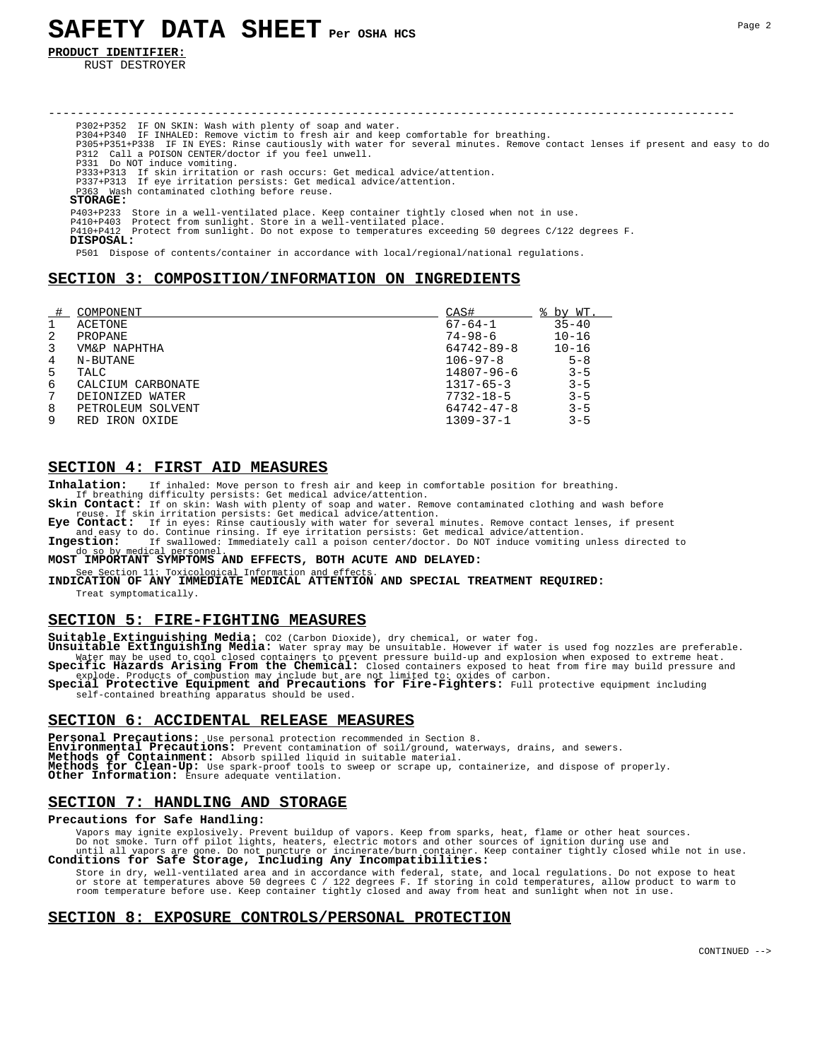**PRODUCT IDENTIFIER:**

RUST DESTROYER

----------------------------------------------------------------------------------------------- P302+P352 IF ON SKIN: Wash with plenty of soap and water. P304+P340 IF INHALED: Remove victim to fresh air and keep comfortable for breathing.<br>P305+P351+P338 IF IN EYES: Rinse cautiously with water for several minutes. Remove contact lenses if present and easy to do<br>P312 Call P331 Do NOT induce vomiting. P333+P313 If skin irritation or rash occurs: Get medical advice/attention. P337+P313 If eye irritation persists: Get medical advice/attention. Wash contaminated clothing before reuse.  **STORAGE:** P403+P233 Store in a well-ventilated place. Keep container tightly closed when not in use. P410+P403 Protect from sunlight. Store in a well-ventilated place. P410+P412 Protect from sunlight. Do not expose to temperatures exceeding 50 degrees C/122 degrees F.  **DISPOSAL:** P501 Dispose of contents/container in accordance with local/regional/national regulations.

# **SECTION 3: COMPOSITION/INFORMATION ON INGREDIENTS**

|   | COMPONENT         | CAS#             | % by WT.  |
|---|-------------------|------------------|-----------|
|   | ACETONE           | $67 - 64 - 1$    | $35 - 40$ |
| 2 | PROPANE           | $74 - 98 - 6$    | $10 - 16$ |
| 3 | VM&P NAPHTHA      | $64742 - 89 - 8$ | $10 - 16$ |
| 4 | N-BUTANE          | $106 - 97 - 8$   | $5 - 8$   |
| 5 | TALC              | 14807-96-6       | $3 - 5$   |
| 6 | CALCIUM CARBONATE | $1317 - 65 - 3$  | $3 - 5$   |
| 7 | DEIONIZED WATER   | $7732 - 18 - 5$  | $3 - 5$   |
| 8 | PETROLEUM SOLVENT | $64742 - 47 - 8$ | $3 - 5$   |
| 9 | RED IRON OXIDE    | $1309 - 37 - 1$  | $3 - 5$   |

#### **SECTION 4: FIRST AID MEASURES**

Inhalation: If inhaled: Move person to fresh air and keep in comfortable position for breathing. If breathing difficulty persists: Get medical advice/attention.

If breathing difficulty persists: Get medical advice/attention.<br>**Skin Contact:** If on skin: Wash with plenty of soap and water. Remove contaminated clothing and wash before<br>**Eye Contact:** If skin irritation persists: Get m

and easy to do. Continue rinsing. If eye irritation persists: Get medical advice/attention.<br>**Ingestion:** If swallowed: Immediately call a poison center/doctor. Do NOT induce vomiting unless directed to<br>do so by medical per personnel

#### **MOST IMPORTANT SYMPTOMS AND EFFECTS, BOTH ACUTE AND DELAYED:**

See Section 11: Toxicological Information and effects.<br>**INDICATION OF ANY IMMEDIATE MEDICAL ATTENTION AND SPECIAL TREATMENT REQUIRED:** Treat symptomatically.

### **SECTION 5: FIRE-FIGHTING MEASURES**

**Suitable Extinguishing Media:** CO2 (Carbon Dioxide), dry chemical, or water fog. **Unsuitable Extinguishing Media:** Water spray may be unsuitable. However if water is used fog nozzles are preferable. Water may be used to cool closed containers to prevent pressure build-up and explosion when exposed to extreme heat.<br>Specific Hazards Arising From the Chemical: Closed containers exposed to heat from fire may build pressur

Special Protective Equipment and Precautions for Fire-Fighters: Full protective equipment including self-contained breathing apparatus should be used.

### **SECTION 6: ACCIDENTAL RELEASE MEASURES**

Personal Precautions: Use personal protection recommended in Section 8.<br>**Environmental Precautions:** Prevent contamination of soil/ground, waterways, drains, and sewers. Environmental Precautions: Prevent contamination of soil/ground, waterways, drains, and sewers.<br>Methods of Containment: Absorb spilled liquid in suitable material.<br>Methods for Clean-Up: Use spark-proof tools to sweep or sc **Other Information:** Ensure adequate ventilation.

#### **SECTION 7: HANDLING AND STORAGE**

### **Precautions for Safe Handling:**

Vapors may ignite explosively. Prevent buildup of vapors. Keep from sparks, heat, flame or other heat sources.

Do not smoke. Turn off pilot lights, heaters, electric motors and other sources of ignition during use and<br>until all vapors are gone. Do not puncture or incinerate/burn container. Keep container tightly closed while not in

 Store in dry, well-ventilated area and in accordance with federal, state, and local regulations. Do not expose to heat or store at temperatures above 50 degrees C / 122 degrees F. If storing in cold temperatures, allow product to warm to<br>room temperature before use. Keep container tightly closed and away from heat and sunlight when not in

#### **SECTION 8: EXPOSURE CONTROLS/PERSONAL PROTECTION**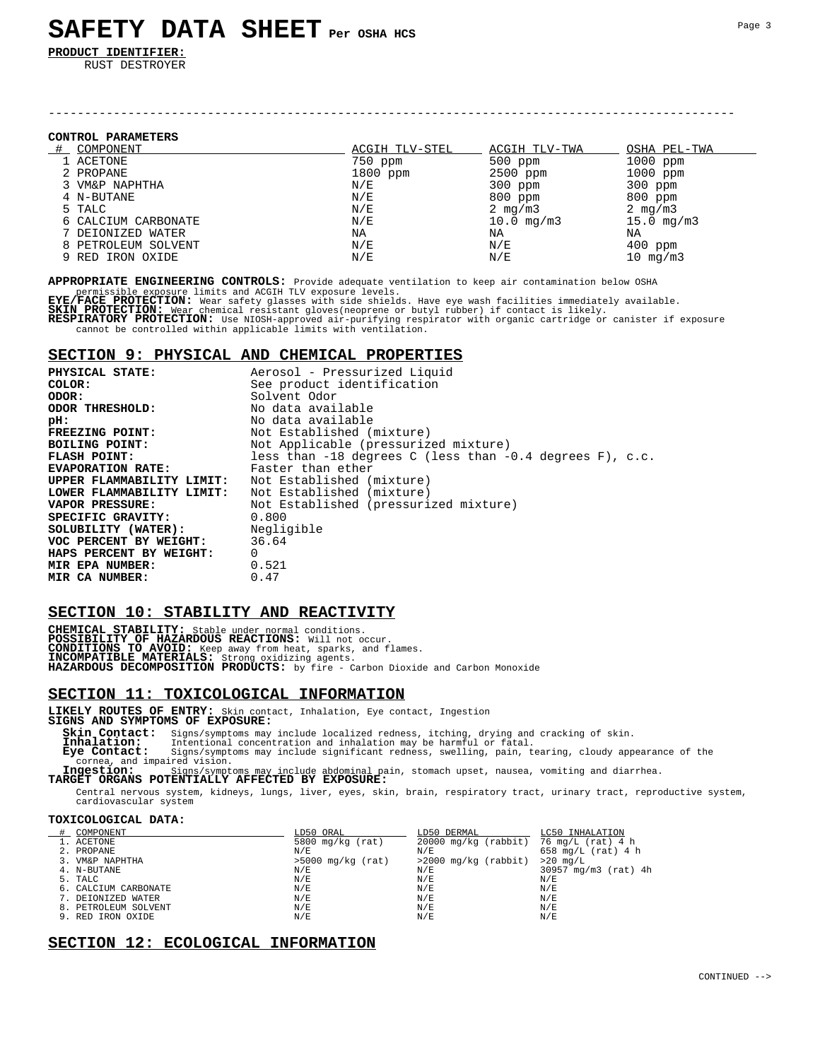**PRODUCT IDENTIFIER:**

RUST DESTROYER

#### **CONTROL PARAMETERS**

| COMPONENT           | ACGIH TLV-STEL | ACGIH TLV-TWA          | OSHA PEL-TWA    |
|---------------------|----------------|------------------------|-----------------|
| 1 ACETONE           | 750 ppm        | $500$ ppm              | 1000 ppm        |
| 2 PROPANE           | 1800 ppm       | 2500 ppm               | 1000 ppm        |
| 3 VM&P NAPHTHA      | N/E            | $300$ ppm              | $300$ ppm       |
| 4 N-BUTANE          | N/E            | $800$ ppm              | 800 ppm         |
| 5 TALC              | N/E            | 2 $mq/m3$              | 2 $mq/m3$       |
| 6 CALCIUM CARBONATE | N/E            | $10.0 \, \text{mq/m3}$ | $15.0 \,$ mg/m3 |
| 7 DEIONIZED WATER   | NA             | ΝA                     | ΝA              |
| 8 PETROLEUM SOLVENT | N/E            | N/E                    | $400$ ppm       |
| 9 RED IRON OXIDE    | N/E            | N/E                    | 10 $mg/m3$      |

-----------------------------------------------------------------------------------------------

**APPROPRIATE ENGINEERING CONTROLS:** Provide adequate ventilation to keep air contamination below OSHA

permissible exposure limits and ACGIH TLV exposure levels.<br>**EYE/FACE PROTECTION:** Wear safety glasses with side shields. Have eye wash facilities immediately available.<br>**SKIN\_PROTECTION:** Wear chemical resistant gloves(neo

**RESPIRATORY PROTECTION:** Use NIOSH-approved air-purifying respirator with organic cartridge or canister if exposure cannot be controlled within applicable limits with ventilation.

# **SECTION 9: PHYSICAL AND CHEMICAL PROPERTIES**

| PHYSICAL STATE:                       | Aerosol - Pressurized Liquid                                 |
|---------------------------------------|--------------------------------------------------------------|
| COLOR:                                | See product identification                                   |
| ODOR:                                 | Solvent Odor                                                 |
| ODOR THRESHOLD:                       | No data available                                            |
| pH:                                   | No data available                                            |
| FREEZING POINT:                       | Not Established (mixture)                                    |
| BOILING POINT:                        | Not Applicable (pressurized mixture)                         |
| FLASH POINT:                          | less than $-18$ degrees C (less than $-0.4$ degrees F), c.c. |
| <b>EVAPORATION RATE:</b>              | Faster than ether                                            |
| UPPER FLAMMABILITY LIMIT:             | Not Established (mixture)                                    |
| LOWER FLAMMABILITY LIMIT:             | Not Established (mixture)                                    |
| VAPOR PRESSURE:                       | Not Established (pressurized mixture)                        |
| SPECIFIC GRAVITY:                     | 0.800                                                        |
| <b>SOLUBILITY (WATER):</b> Negligible |                                                              |
| VOC PERCENT BY WEIGHT: 36.64          |                                                              |
| HAPS PERCENT BY WEIGHT:               | $\Omega$                                                     |
| MIR EPA NUMBER:                       | 0.521                                                        |
| MIR CA NUMBER:                        | 0.47                                                         |

# **SECTION 10: STABILITY AND REACTIVITY**

**CHEMICAL STABILITY:** Stable under normal conditions.<br>**POSSIBILITY OF HAZARDOUS REACTIONS:** Will not occur.<br>**CONDITIONS TO AVOID: Keep** away from heat, sparks, and flames.<br>**INCOMPATIBLE MATERIALS:** Strong oxidizing agents.

## **SECTION 11: TOXICOLOGICAL INFORMATION**

**LIKELY ROUTES OF ENTRY:** Skin contact, Inhalation, Eye contact, Ingestion **SIGNS AND SYMPTOMS OF EXPOSURE:**

**Skin Contact:** Signs/symptoms may include localized redness, itching, drying and cracking of skin.<br>**Inhalation:** Intentional concentration and inhalation may be harmful or fatal.<br>**Eye Contact:** Signs/symptoms may include

cornea, and impaired vision. **Ingestion:** Signs/symptoms may include abdominal pain, stomach upset, nausea, vomiting and diarrhea. **TARGET ORGANS POTENTIALLY AFFECTED BY EXPOSURE:**

 Central nervous system, kidneys, lungs, liver, eyes, skin, brain, respiratory tract, urinary tract, reproductive system, cardiovascular system

#### **TOXICOLOGICAL DATA:**

| COMPONENT            | LD50 ORAL           | LD50 DERMAL                              | LC50 INHALATION      |
|----------------------|---------------------|------------------------------------------|----------------------|
| 1. ACETONE           | 5800 $mq/kg$ (rat)  | $20000$ mg/kg (rabbit) 76 mg/L (rat) 4 h |                      |
| 2. PROPANE           | N/E                 | N/E                                      | 658 mg/L $(rat)$ 4 h |
| 3. VM&P NAPHTHA      | $>5000$ mg/kg (rat) | $>2000$ mg/kg (rabbit)                   | $>20$ mg/L           |
| 4. N-BUTANE          | N/E                 | N/E                                      | 30957 mg/m3 (rat) 4h |
| 5. TALC              | N/E                 | N/E                                      | N/E                  |
| 6. CALCIUM CARBONATE | N/E                 | N/E                                      | N/E                  |
| 7. DEIONIZED WATER   | N/E                 | N/E                                      | N/E                  |
| 8. PETROLEUM SOLVENT | N/E                 | N/E                                      | N/E                  |
| 9. RED IRON OXIDE    | N/E                 | N/E                                      | N/E                  |

# **SECTION 12: ECOLOGICAL INFORMATION**